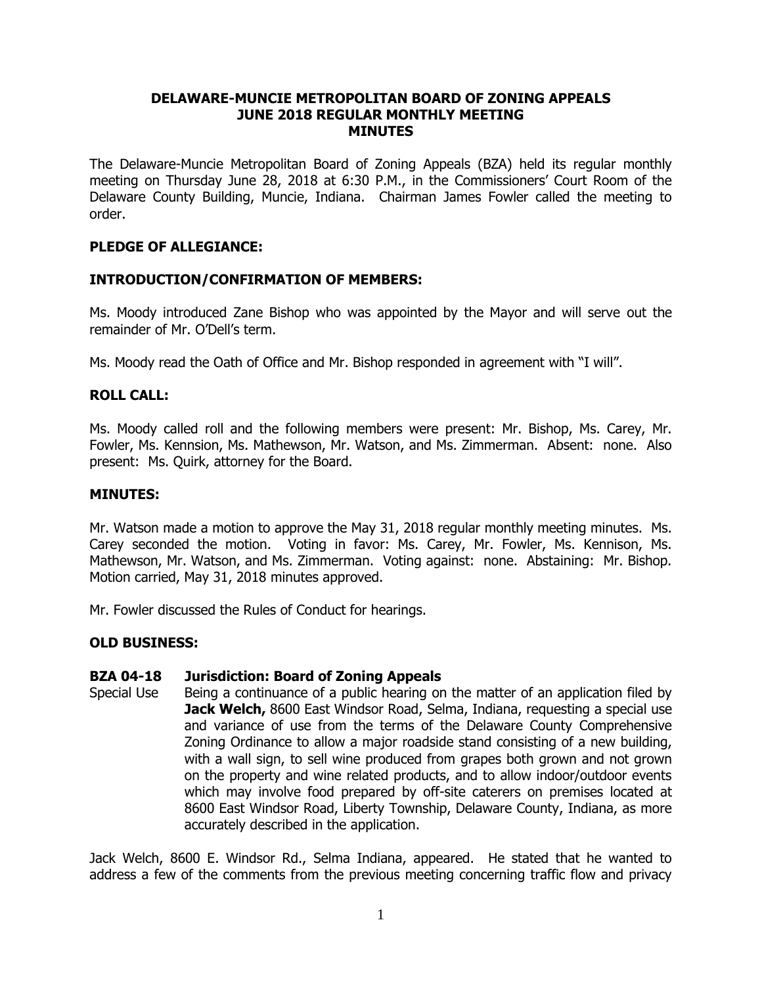### **DELAWARE-MUNCIE METROPOLITAN BOARD OF ZONING APPEALS JUNE 2018 REGULAR MONTHLY MEETING MINUTES**

The Delaware-Muncie Metropolitan Board of Zoning Appeals (BZA) held its regular monthly meeting on Thursday June 28, 2018 at 6:30 P.M., in the Commissioners' Court Room of the Delaware County Building, Muncie, Indiana. Chairman James Fowler called the meeting to order.

# **PLEDGE OF ALLEGIANCE:**

### **INTRODUCTION/CONFIRMATION OF MEMBERS:**

Ms. Moody introduced Zane Bishop who was appointed by the Mayor and will serve out the remainder of Mr. O'Dell's term.

Ms. Moody read the Oath of Office and Mr. Bishop responded in agreement with "I will".

### **ROLL CALL:**

Ms. Moody called roll and the following members were present: Mr. Bishop, Ms. Carey, Mr. Fowler, Ms. Kennsion, Ms. Mathewson, Mr. Watson, and Ms. Zimmerman. Absent: none. Also present: Ms. Quirk, attorney for the Board.

#### **MINUTES:**

Mr. Watson made a motion to approve the May 31, 2018 regular monthly meeting minutes. Ms. Carey seconded the motion. Voting in favor: Ms. Carey, Mr. Fowler, Ms. Kennison, Ms. Mathewson, Mr. Watson, and Ms. Zimmerman. Voting against: none. Abstaining: Mr. Bishop. Motion carried, May 31, 2018 minutes approved.

Mr. Fowler discussed the Rules of Conduct for hearings.

# **OLD BUSINESS:**

#### **BZA 04-18 Jurisdiction: Board of Zoning Appeals**

Special Use Being a continuance of a public hearing on the matter of an application filed by **Jack Welch, 8600 East Windsor Road, Selma, Indiana, requesting a special use** and variance of use from the terms of the Delaware County Comprehensive Zoning Ordinance to allow a major roadside stand consisting of a new building, with a wall sign, to sell wine produced from grapes both grown and not grown on the property and wine related products, and to allow indoor/outdoor events which may involve food prepared by off-site caterers on premises located at 8600 East Windsor Road, Liberty Township, Delaware County, Indiana, as more accurately described in the application.

Jack Welch, 8600 E. Windsor Rd., Selma Indiana, appeared. He stated that he wanted to address a few of the comments from the previous meeting concerning traffic flow and privacy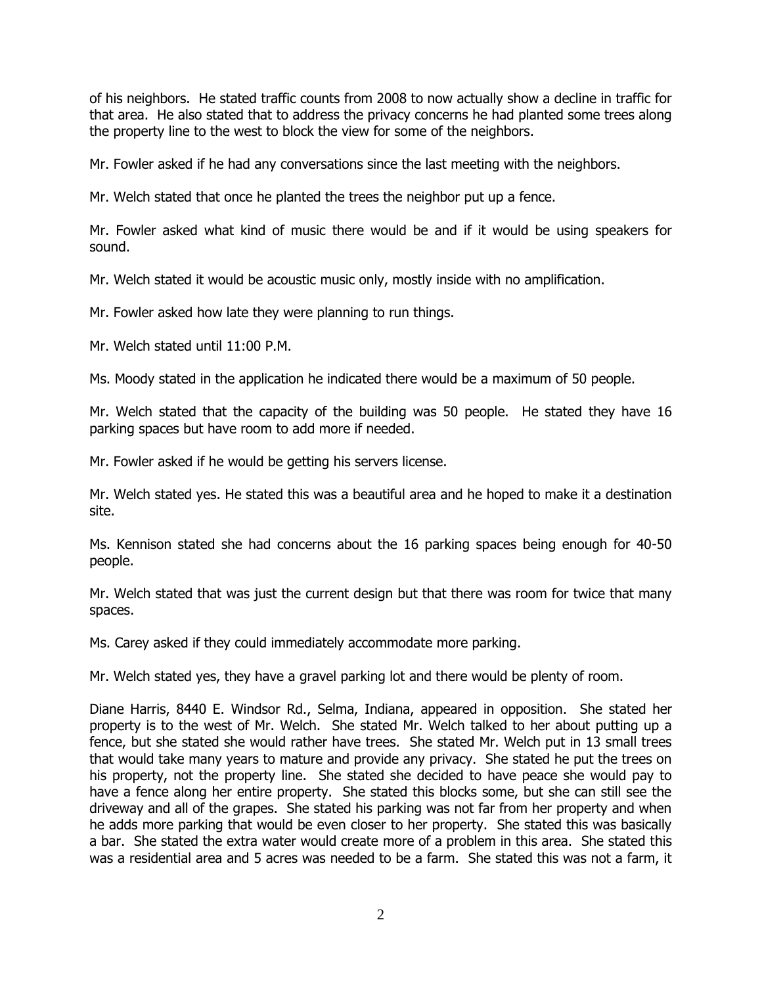of his neighbors. He stated traffic counts from 2008 to now actually show a decline in traffic for that area. He also stated that to address the privacy concerns he had planted some trees along the property line to the west to block the view for some of the neighbors.

Mr. Fowler asked if he had any conversations since the last meeting with the neighbors.

Mr. Welch stated that once he planted the trees the neighbor put up a fence.

Mr. Fowler asked what kind of music there would be and if it would be using speakers for sound.

Mr. Welch stated it would be acoustic music only, mostly inside with no amplification.

Mr. Fowler asked how late they were planning to run things.

Mr. Welch stated until 11:00 P.M.

Ms. Moody stated in the application he indicated there would be a maximum of 50 people.

Mr. Welch stated that the capacity of the building was 50 people. He stated they have 16 parking spaces but have room to add more if needed.

Mr. Fowler asked if he would be getting his servers license.

Mr. Welch stated yes. He stated this was a beautiful area and he hoped to make it a destination site.

Ms. Kennison stated she had concerns about the 16 parking spaces being enough for 40-50 people.

Mr. Welch stated that was just the current design but that there was room for twice that many spaces.

Ms. Carey asked if they could immediately accommodate more parking.

Mr. Welch stated yes, they have a gravel parking lot and there would be plenty of room.

Diane Harris, 8440 E. Windsor Rd., Selma, Indiana, appeared in opposition. She stated her property is to the west of Mr. Welch. She stated Mr. Welch talked to her about putting up a fence, but she stated she would rather have trees. She stated Mr. Welch put in 13 small trees that would take many years to mature and provide any privacy. She stated he put the trees on his property, not the property line. She stated she decided to have peace she would pay to have a fence along her entire property. She stated this blocks some, but she can still see the driveway and all of the grapes. She stated his parking was not far from her property and when he adds more parking that would be even closer to her property. She stated this was basically a bar. She stated the extra water would create more of a problem in this area. She stated this was a residential area and 5 acres was needed to be a farm. She stated this was not a farm, it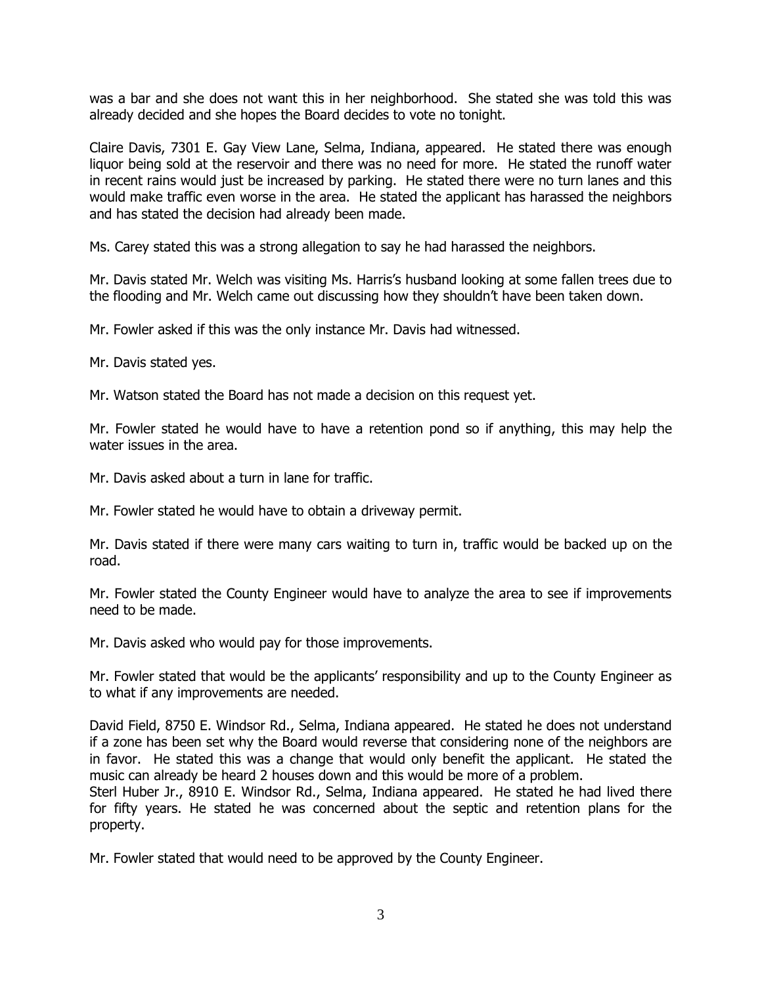was a bar and she does not want this in her neighborhood. She stated she was told this was already decided and she hopes the Board decides to vote no tonight.

Claire Davis, 7301 E. Gay View Lane, Selma, Indiana, appeared. He stated there was enough liquor being sold at the reservoir and there was no need for more. He stated the runoff water in recent rains would just be increased by parking. He stated there were no turn lanes and this would make traffic even worse in the area. He stated the applicant has harassed the neighbors and has stated the decision had already been made.

Ms. Carey stated this was a strong allegation to say he had harassed the neighbors.

Mr. Davis stated Mr. Welch was visiting Ms. Harris's husband looking at some fallen trees due to the flooding and Mr. Welch came out discussing how they shouldn't have been taken down.

Mr. Fowler asked if this was the only instance Mr. Davis had witnessed.

Mr. Davis stated yes.

Mr. Watson stated the Board has not made a decision on this request yet.

Mr. Fowler stated he would have to have a retention pond so if anything, this may help the water issues in the area.

Mr. Davis asked about a turn in lane for traffic.

Mr. Fowler stated he would have to obtain a driveway permit.

Mr. Davis stated if there were many cars waiting to turn in, traffic would be backed up on the road.

Mr. Fowler stated the County Engineer would have to analyze the area to see if improvements need to be made.

Mr. Davis asked who would pay for those improvements.

Mr. Fowler stated that would be the applicants' responsibility and up to the County Engineer as to what if any improvements are needed.

David Field, 8750 E. Windsor Rd., Selma, Indiana appeared. He stated he does not understand if a zone has been set why the Board would reverse that considering none of the neighbors are in favor. He stated this was a change that would only benefit the applicant. He stated the music can already be heard 2 houses down and this would be more of a problem.

Sterl Huber Jr., 8910 E. Windsor Rd., Selma, Indiana appeared. He stated he had lived there for fifty years. He stated he was concerned about the septic and retention plans for the property.

Mr. Fowler stated that would need to be approved by the County Engineer.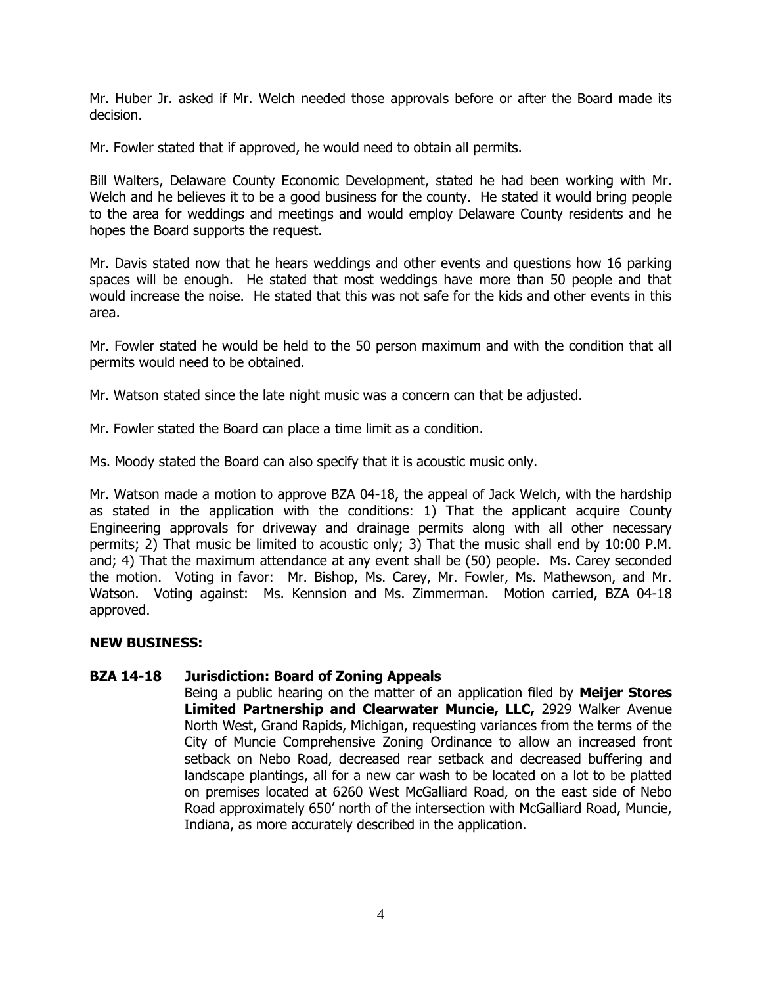Mr. Huber Jr. asked if Mr. Welch needed those approvals before or after the Board made its decision.

Mr. Fowler stated that if approved, he would need to obtain all permits.

Bill Walters, Delaware County Economic Development, stated he had been working with Mr. Welch and he believes it to be a good business for the county. He stated it would bring people to the area for weddings and meetings and would employ Delaware County residents and he hopes the Board supports the request.

Mr. Davis stated now that he hears weddings and other events and questions how 16 parking spaces will be enough. He stated that most weddings have more than 50 people and that would increase the noise. He stated that this was not safe for the kids and other events in this area.

Mr. Fowler stated he would be held to the 50 person maximum and with the condition that all permits would need to be obtained.

Mr. Watson stated since the late night music was a concern can that be adjusted.

Mr. Fowler stated the Board can place a time limit as a condition.

Ms. Moody stated the Board can also specify that it is acoustic music only.

Mr. Watson made a motion to approve BZA 04-18, the appeal of Jack Welch, with the hardship as stated in the application with the conditions: 1) That the applicant acquire County Engineering approvals for driveway and drainage permits along with all other necessary permits; 2) That music be limited to acoustic only; 3) That the music shall end by 10:00 P.M. and; 4) That the maximum attendance at any event shall be (50) people. Ms. Carey seconded the motion. Voting in favor: Mr. Bishop, Ms. Carey, Mr. Fowler, Ms. Mathewson, and Mr. Watson. Voting against: Ms. Kennsion and Ms. Zimmerman. Motion carried, BZA 04-18 approved.

# **NEW BUSINESS:**

# **BZA 14-18 Jurisdiction: Board of Zoning Appeals**

Being a public hearing on the matter of an application filed by **Meijer Stores Limited Partnership and Clearwater Muncie, LLC,** 2929 Walker Avenue North West, Grand Rapids, Michigan, requesting variances from the terms of the City of Muncie Comprehensive Zoning Ordinance to allow an increased front setback on Nebo Road, decreased rear setback and decreased buffering and landscape plantings, all for a new car wash to be located on a lot to be platted on premises located at 6260 West McGalliard Road, on the east side of Nebo Road approximately 650' north of the intersection with McGalliard Road, Muncie, Indiana, as more accurately described in the application.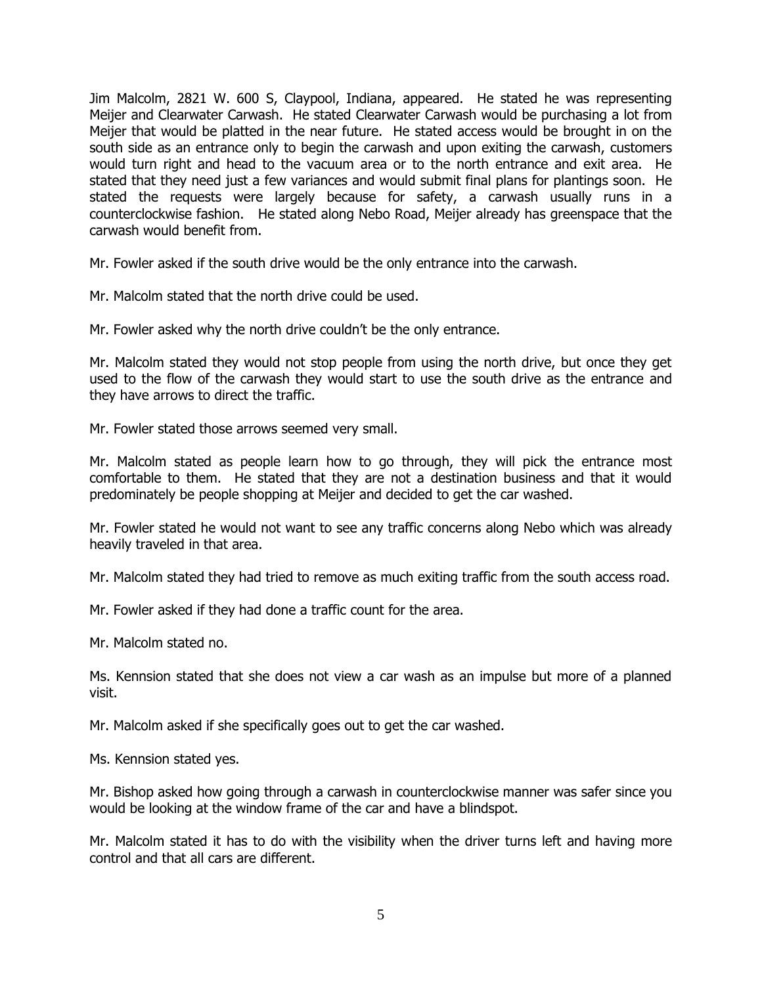Jim Malcolm, 2821 W. 600 S, Claypool, Indiana, appeared. He stated he was representing Meijer and Clearwater Carwash. He stated Clearwater Carwash would be purchasing a lot from Meijer that would be platted in the near future. He stated access would be brought in on the south side as an entrance only to begin the carwash and upon exiting the carwash, customers would turn right and head to the vacuum area or to the north entrance and exit area. He stated that they need just a few variances and would submit final plans for plantings soon. He stated the requests were largely because for safety, a carwash usually runs in a counterclockwise fashion. He stated along Nebo Road, Meijer already has greenspace that the carwash would benefit from.

Mr. Fowler asked if the south drive would be the only entrance into the carwash.

Mr. Malcolm stated that the north drive could be used.

Mr. Fowler asked why the north drive couldn't be the only entrance.

Mr. Malcolm stated they would not stop people from using the north drive, but once they get used to the flow of the carwash they would start to use the south drive as the entrance and they have arrows to direct the traffic.

Mr. Fowler stated those arrows seemed very small.

Mr. Malcolm stated as people learn how to go through, they will pick the entrance most comfortable to them. He stated that they are not a destination business and that it would predominately be people shopping at Meijer and decided to get the car washed.

Mr. Fowler stated he would not want to see any traffic concerns along Nebo which was already heavily traveled in that area.

Mr. Malcolm stated they had tried to remove as much exiting traffic from the south access road.

Mr. Fowler asked if they had done a traffic count for the area.

Mr. Malcolm stated no.

Ms. Kennsion stated that she does not view a car wash as an impulse but more of a planned visit.

Mr. Malcolm asked if she specifically goes out to get the car washed.

Ms. Kennsion stated yes.

Mr. Bishop asked how going through a carwash in counterclockwise manner was safer since you would be looking at the window frame of the car and have a blindspot.

Mr. Malcolm stated it has to do with the visibility when the driver turns left and having more control and that all cars are different.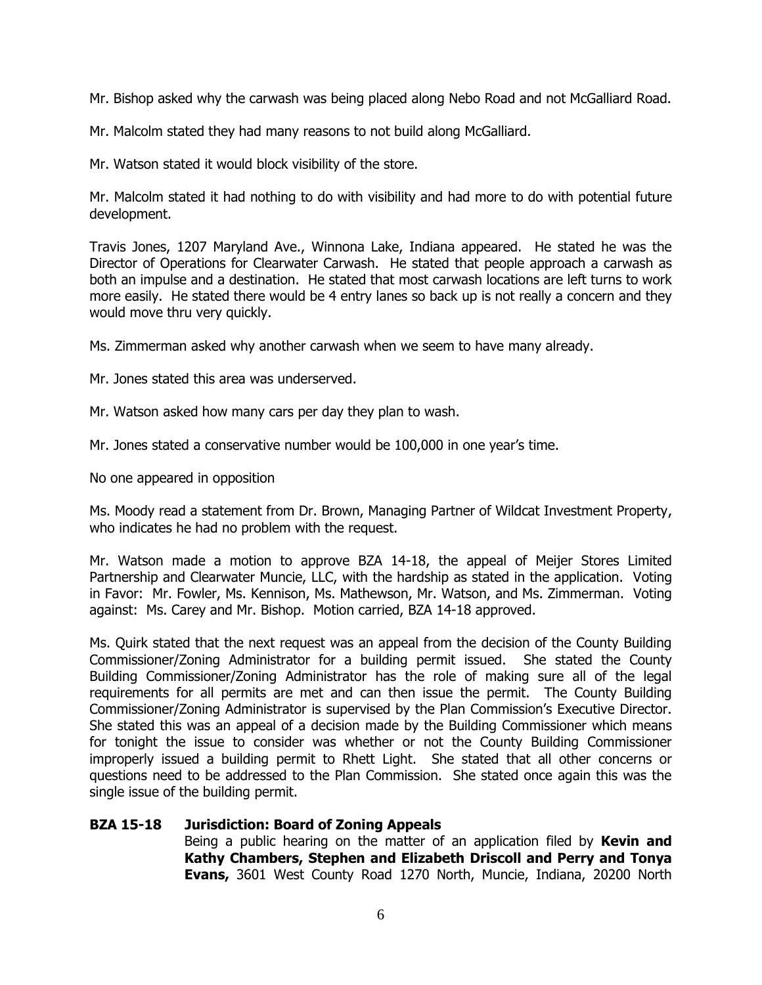Mr. Bishop asked why the carwash was being placed along Nebo Road and not McGalliard Road.

Mr. Malcolm stated they had many reasons to not build along McGalliard.

Mr. Watson stated it would block visibility of the store.

Mr. Malcolm stated it had nothing to do with visibility and had more to do with potential future development.

Travis Jones, 1207 Maryland Ave., Winnona Lake, Indiana appeared. He stated he was the Director of Operations for Clearwater Carwash. He stated that people approach a carwash as both an impulse and a destination. He stated that most carwash locations are left turns to work more easily. He stated there would be 4 entry lanes so back up is not really a concern and they would move thru very quickly.

Ms. Zimmerman asked why another carwash when we seem to have many already.

Mr. Jones stated this area was underserved.

Mr. Watson asked how many cars per day they plan to wash.

Mr. Jones stated a conservative number would be 100,000 in one year's time.

No one appeared in opposition

Ms. Moody read a statement from Dr. Brown, Managing Partner of Wildcat Investment Property, who indicates he had no problem with the request.

Mr. Watson made a motion to approve BZA 14-18, the appeal of Meijer Stores Limited Partnership and Clearwater Muncie, LLC, with the hardship as stated in the application. Voting in Favor: Mr. Fowler, Ms. Kennison, Ms. Mathewson, Mr. Watson, and Ms. Zimmerman. Voting against: Ms. Carey and Mr. Bishop. Motion carried, BZA 14-18 approved.

Ms. Quirk stated that the next request was an appeal from the decision of the County Building Commissioner/Zoning Administrator for a building permit issued. She stated the County Building Commissioner/Zoning Administrator has the role of making sure all of the legal requirements for all permits are met and can then issue the permit. The County Building Commissioner/Zoning Administrator is supervised by the Plan Commission's Executive Director. She stated this was an appeal of a decision made by the Building Commissioner which means for tonight the issue to consider was whether or not the County Building Commissioner improperly issued a building permit to Rhett Light. She stated that all other concerns or questions need to be addressed to the Plan Commission. She stated once again this was the single issue of the building permit.

# **BZA 15-18 Jurisdiction: Board of Zoning Appeals**

Being a public hearing on the matter of an application filed by **Kevin and Kathy Chambers, Stephen and Elizabeth Driscoll and Perry and Tonya Evans,** 3601 West County Road 1270 North, Muncie, Indiana, 20200 North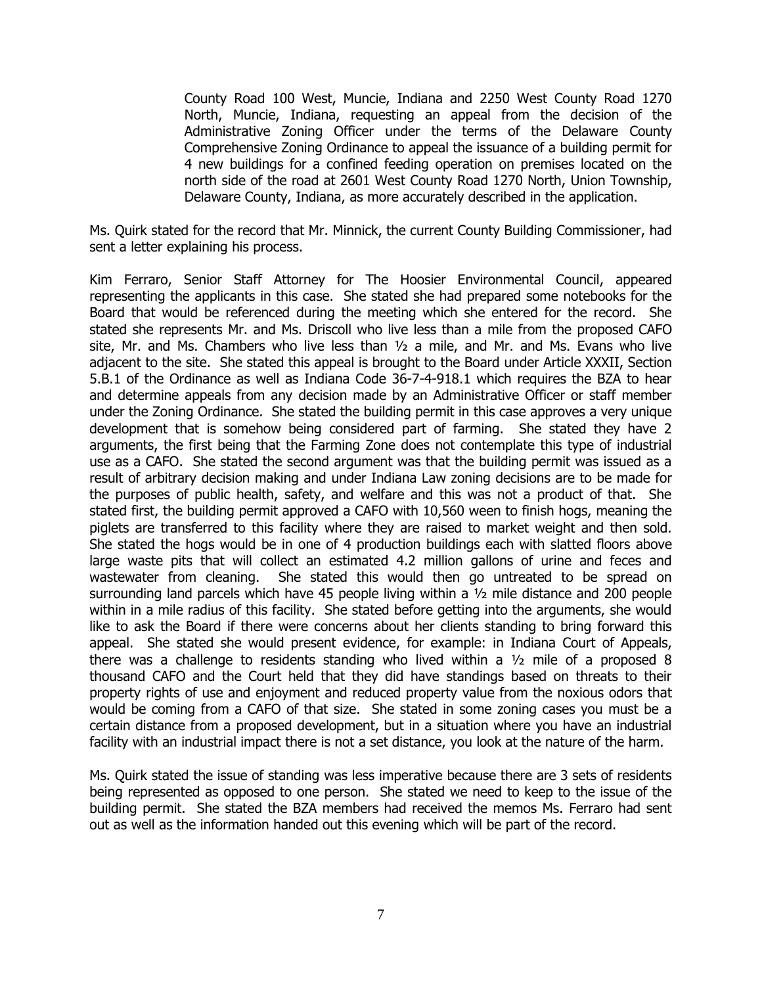County Road 100 West, Muncie, Indiana and 2250 West County Road 1270 North, Muncie, Indiana, requesting an appeal from the decision of the Administrative Zoning Officer under the terms of the Delaware County Comprehensive Zoning Ordinance to appeal the issuance of a building permit for 4 new buildings for a confined feeding operation on premises located on the north side of the road at 2601 West County Road 1270 North, Union Township, Delaware County, Indiana, as more accurately described in the application.

Ms. Quirk stated for the record that Mr. Minnick, the current County Building Commissioner, had sent a letter explaining his process.

Kim Ferraro, Senior Staff Attorney for The Hoosier Environmental Council, appeared representing the applicants in this case. She stated she had prepared some notebooks for the Board that would be referenced during the meeting which she entered for the record. She stated she represents Mr. and Ms. Driscoll who live less than a mile from the proposed CAFO site, Mr. and Ms. Chambers who live less than  $\frac{1}{2}$  a mile, and Mr. and Ms. Evans who live adjacent to the site. She stated this appeal is brought to the Board under Article XXXII, Section 5.B.1 of the Ordinance as well as Indiana Code 36-7-4-918.1 which requires the BZA to hear and determine appeals from any decision made by an Administrative Officer or staff member under the Zoning Ordinance. She stated the building permit in this case approves a very unique development that is somehow being considered part of farming. She stated they have 2 arguments, the first being that the Farming Zone does not contemplate this type of industrial use as a CAFO. She stated the second argument was that the building permit was issued as a result of arbitrary decision making and under Indiana Law zoning decisions are to be made for the purposes of public health, safety, and welfare and this was not a product of that. She stated first, the building permit approved a CAFO with 10,560 ween to finish hogs, meaning the piglets are transferred to this facility where they are raised to market weight and then sold. She stated the hogs would be in one of 4 production buildings each with slatted floors above large waste pits that will collect an estimated 4.2 million gallons of urine and feces and wastewater from cleaning. She stated this would then go untreated to be spread on surrounding land parcels which have 45 people living within a  $\frac{1}{2}$  mile distance and 200 people within in a mile radius of this facility. She stated before getting into the arguments, she would like to ask the Board if there were concerns about her clients standing to bring forward this appeal. She stated she would present evidence, for example: in Indiana Court of Appeals, there was a challenge to residents standing who lived within a  $\frac{1}{2}$  mile of a proposed 8 thousand CAFO and the Court held that they did have standings based on threats to their property rights of use and enjoyment and reduced property value from the noxious odors that would be coming from a CAFO of that size. She stated in some zoning cases you must be a certain distance from a proposed development, but in a situation where you have an industrial facility with an industrial impact there is not a set distance, you look at the nature of the harm.

Ms. Quirk stated the issue of standing was less imperative because there are 3 sets of residents being represented as opposed to one person. She stated we need to keep to the issue of the building permit. She stated the BZA members had received the memos Ms. Ferraro had sent out as well as the information handed out this evening which will be part of the record.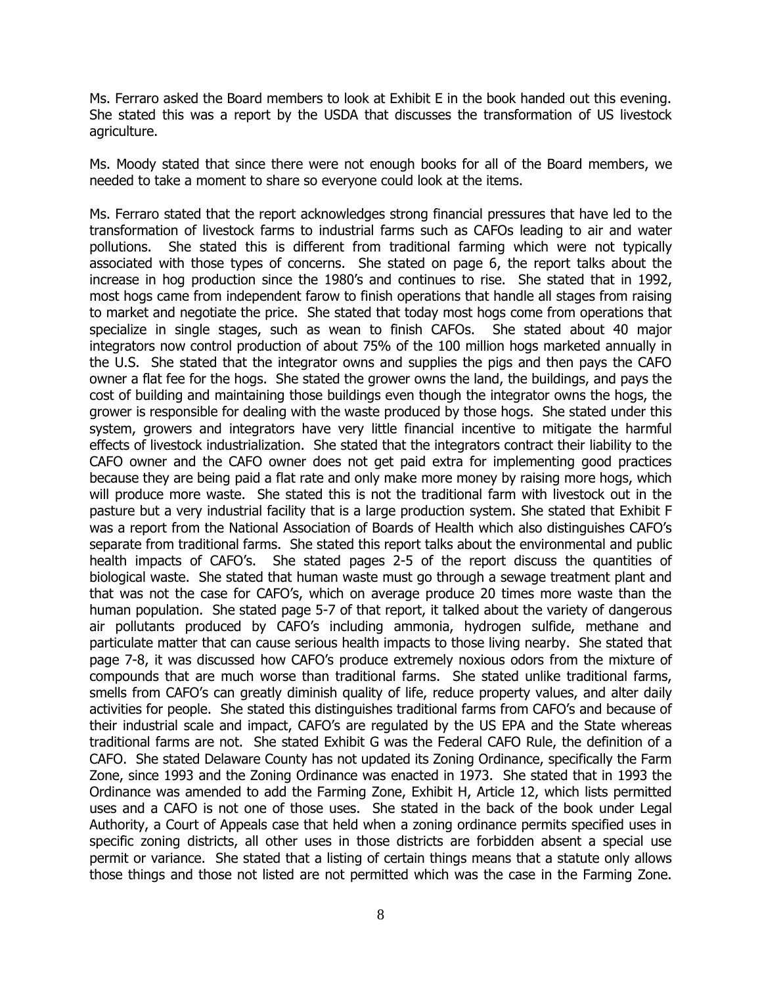Ms. Ferraro asked the Board members to look at Exhibit E in the book handed out this evening. She stated this was a report by the USDA that discusses the transformation of US livestock agriculture.

Ms. Moody stated that since there were not enough books for all of the Board members, we needed to take a moment to share so everyone could look at the items.

Ms. Ferraro stated that the report acknowledges strong financial pressures that have led to the transformation of livestock farms to industrial farms such as CAFOs leading to air and water pollutions. She stated this is different from traditional farming which were not typically associated with those types of concerns. She stated on page 6, the report talks about the increase in hog production since the 1980's and continues to rise. She stated that in 1992, most hogs came from independent farow to finish operations that handle all stages from raising to market and negotiate the price. She stated that today most hogs come from operations that specialize in single stages, such as wean to finish CAFOs. She stated about 40 major integrators now control production of about 75% of the 100 million hogs marketed annually in the U.S. She stated that the integrator owns and supplies the pigs and then pays the CAFO owner a flat fee for the hogs. She stated the grower owns the land, the buildings, and pays the cost of building and maintaining those buildings even though the integrator owns the hogs, the grower is responsible for dealing with the waste produced by those hogs. She stated under this system, growers and integrators have very little financial incentive to mitigate the harmful effects of livestock industrialization. She stated that the integrators contract their liability to the CAFO owner and the CAFO owner does not get paid extra for implementing good practices because they are being paid a flat rate and only make more money by raising more hogs, which will produce more waste. She stated this is not the traditional farm with livestock out in the pasture but a very industrial facility that is a large production system. She stated that Exhibit F was a report from the National Association of Boards of Health which also distinguishes CAFO's separate from traditional farms. She stated this report talks about the environmental and public health impacts of CAFO's. She stated pages 2-5 of the report discuss the quantities of biological waste. She stated that human waste must go through a sewage treatment plant and that was not the case for CAFO's, which on average produce 20 times more waste than the human population. She stated page 5-7 of that report, it talked about the variety of dangerous air pollutants produced by CAFO's including ammonia, hydrogen sulfide, methane and particulate matter that can cause serious health impacts to those living nearby. She stated that page 7-8, it was discussed how CAFO's produce extremely noxious odors from the mixture of compounds that are much worse than traditional farms. She stated unlike traditional farms, smells from CAFO's can greatly diminish quality of life, reduce property values, and alter daily activities for people. She stated this distinguishes traditional farms from CAFO's and because of their industrial scale and impact, CAFO's are regulated by the US EPA and the State whereas traditional farms are not. She stated Exhibit G was the Federal CAFO Rule, the definition of a CAFO. She stated Delaware County has not updated its Zoning Ordinance, specifically the Farm Zone, since 1993 and the Zoning Ordinance was enacted in 1973. She stated that in 1993 the Ordinance was amended to add the Farming Zone, Exhibit H, Article 12, which lists permitted uses and a CAFO is not one of those uses. She stated in the back of the book under Legal Authority, a Court of Appeals case that held when a zoning ordinance permits specified uses in specific zoning districts, all other uses in those districts are forbidden absent a special use permit or variance. She stated that a listing of certain things means that a statute only allows those things and those not listed are not permitted which was the case in the Farming Zone.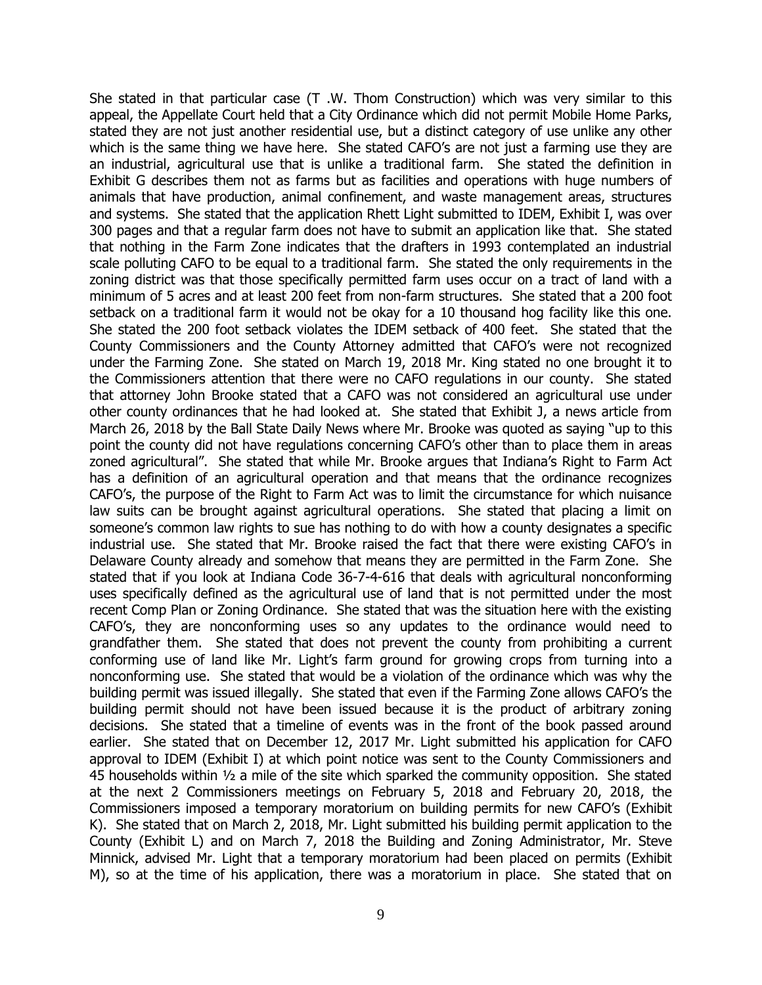She stated in that particular case (T .W. Thom Construction) which was very similar to this appeal, the Appellate Court held that a City Ordinance which did not permit Mobile Home Parks, stated they are not just another residential use, but a distinct category of use unlike any other which is the same thing we have here. She stated CAFO's are not just a farming use they are an industrial, agricultural use that is unlike a traditional farm. She stated the definition in Exhibit G describes them not as farms but as facilities and operations with huge numbers of animals that have production, animal confinement, and waste management areas, structures and systems. She stated that the application Rhett Light submitted to IDEM, Exhibit I, was over 300 pages and that a regular farm does not have to submit an application like that. She stated that nothing in the Farm Zone indicates that the drafters in 1993 contemplated an industrial scale polluting CAFO to be equal to a traditional farm. She stated the only requirements in the zoning district was that those specifically permitted farm uses occur on a tract of land with a minimum of 5 acres and at least 200 feet from non-farm structures. She stated that a 200 foot setback on a traditional farm it would not be okay for a 10 thousand hog facility like this one. She stated the 200 foot setback violates the IDEM setback of 400 feet. She stated that the County Commissioners and the County Attorney admitted that CAFO's were not recognized under the Farming Zone. She stated on March 19, 2018 Mr. King stated no one brought it to the Commissioners attention that there were no CAFO regulations in our county. She stated that attorney John Brooke stated that a CAFO was not considered an agricultural use under other county ordinances that he had looked at. She stated that Exhibit J, a news article from March 26, 2018 by the Ball State Daily News where Mr. Brooke was quoted as saying "up to this point the county did not have regulations concerning CAFO's other than to place them in areas zoned agricultural". She stated that while Mr. Brooke argues that Indiana's Right to Farm Act has a definition of an agricultural operation and that means that the ordinance recognizes CAFO's, the purpose of the Right to Farm Act was to limit the circumstance for which nuisance law suits can be brought against agricultural operations. She stated that placing a limit on someone's common law rights to sue has nothing to do with how a county designates a specific industrial use. She stated that Mr. Brooke raised the fact that there were existing CAFO's in Delaware County already and somehow that means they are permitted in the Farm Zone. She stated that if you look at Indiana Code 36-7-4-616 that deals with agricultural nonconforming uses specifically defined as the agricultural use of land that is not permitted under the most recent Comp Plan or Zoning Ordinance. She stated that was the situation here with the existing CAFO's, they are nonconforming uses so any updates to the ordinance would need to grandfather them. She stated that does not prevent the county from prohibiting a current conforming use of land like Mr. Light's farm ground for growing crops from turning into a nonconforming use. She stated that would be a violation of the ordinance which was why the building permit was issued illegally. She stated that even if the Farming Zone allows CAFO's the building permit should not have been issued because it is the product of arbitrary zoning decisions. She stated that a timeline of events was in the front of the book passed around earlier. She stated that on December 12, 2017 Mr. Light submitted his application for CAFO approval to IDEM (Exhibit I) at which point notice was sent to the County Commissioners and 45 households within  $\frac{1}{2}$  a mile of the site which sparked the community opposition. She stated at the next 2 Commissioners meetings on February 5, 2018 and February 20, 2018, the Commissioners imposed a temporary moratorium on building permits for new CAFO's (Exhibit K). She stated that on March 2, 2018, Mr. Light submitted his building permit application to the County (Exhibit L) and on March 7, 2018 the Building and Zoning Administrator, Mr. Steve Minnick, advised Mr. Light that a temporary moratorium had been placed on permits (Exhibit M), so at the time of his application, there was a moratorium in place. She stated that on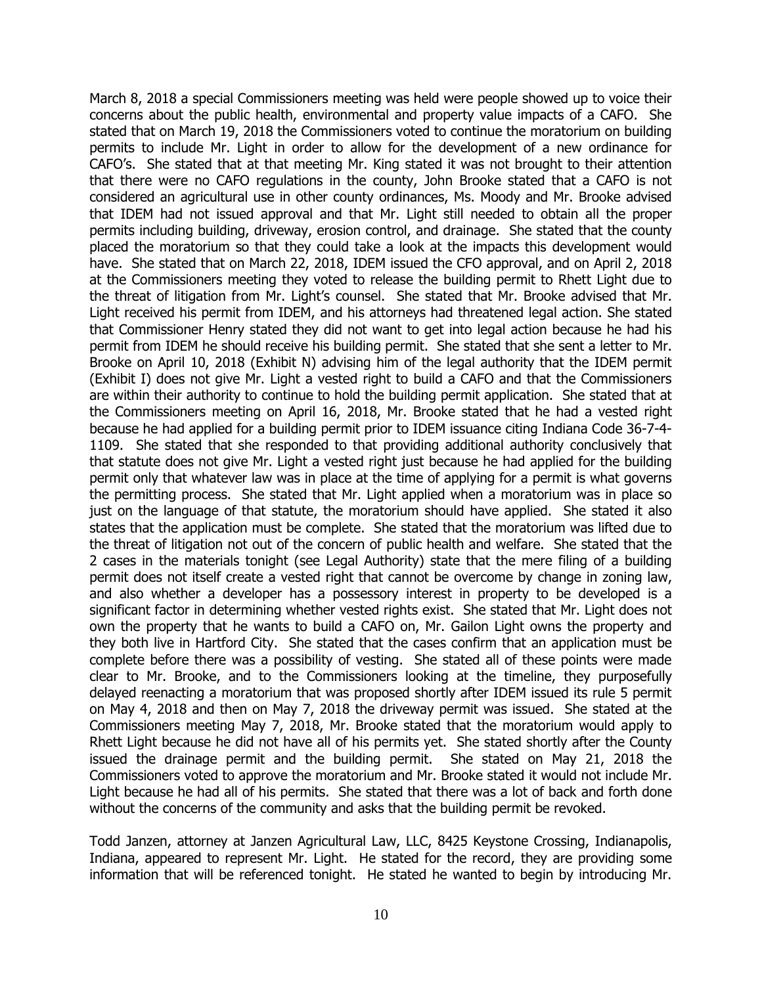March 8, 2018 a special Commissioners meeting was held were people showed up to voice their concerns about the public health, environmental and property value impacts of a CAFO. She stated that on March 19, 2018 the Commissioners voted to continue the moratorium on building permits to include Mr. Light in order to allow for the development of a new ordinance for CAFO's. She stated that at that meeting Mr. King stated it was not brought to their attention that there were no CAFO regulations in the county, John Brooke stated that a CAFO is not considered an agricultural use in other county ordinances, Ms. Moody and Mr. Brooke advised that IDEM had not issued approval and that Mr. Light still needed to obtain all the proper permits including building, driveway, erosion control, and drainage. She stated that the county placed the moratorium so that they could take a look at the impacts this development would have. She stated that on March 22, 2018, IDEM issued the CFO approval, and on April 2, 2018 at the Commissioners meeting they voted to release the building permit to Rhett Light due to the threat of litigation from Mr. Light's counsel. She stated that Mr. Brooke advised that Mr. Light received his permit from IDEM, and his attorneys had threatened legal action. She stated that Commissioner Henry stated they did not want to get into legal action because he had his permit from IDEM he should receive his building permit. She stated that she sent a letter to Mr. Brooke on April 10, 2018 (Exhibit N) advising him of the legal authority that the IDEM permit (Exhibit I) does not give Mr. Light a vested right to build a CAFO and that the Commissioners are within their authority to continue to hold the building permit application. She stated that at the Commissioners meeting on April 16, 2018, Mr. Brooke stated that he had a vested right because he had applied for a building permit prior to IDEM issuance citing Indiana Code 36-7-4- 1109. She stated that she responded to that providing additional authority conclusively that that statute does not give Mr. Light a vested right just because he had applied for the building permit only that whatever law was in place at the time of applying for a permit is what governs the permitting process. She stated that Mr. Light applied when a moratorium was in place so just on the language of that statute, the moratorium should have applied. She stated it also states that the application must be complete. She stated that the moratorium was lifted due to the threat of litigation not out of the concern of public health and welfare. She stated that the 2 cases in the materials tonight (see Legal Authority) state that the mere filing of a building permit does not itself create a vested right that cannot be overcome by change in zoning law, and also whether a developer has a possessory interest in property to be developed is a significant factor in determining whether vested rights exist. She stated that Mr. Light does not own the property that he wants to build a CAFO on, Mr. Gailon Light owns the property and they both live in Hartford City. She stated that the cases confirm that an application must be complete before there was a possibility of vesting. She stated all of these points were made clear to Mr. Brooke, and to the Commissioners looking at the timeline, they purposefully delayed reenacting a moratorium that was proposed shortly after IDEM issued its rule 5 permit on May 4, 2018 and then on May 7, 2018 the driveway permit was issued. She stated at the Commissioners meeting May 7, 2018, Mr. Brooke stated that the moratorium would apply to Rhett Light because he did not have all of his permits yet. She stated shortly after the County issued the drainage permit and the building permit. She stated on May 21, 2018 the Commissioners voted to approve the moratorium and Mr. Brooke stated it would not include Mr. Light because he had all of his permits. She stated that there was a lot of back and forth done without the concerns of the community and asks that the building permit be revoked.

Todd Janzen, attorney at Janzen Agricultural Law, LLC, 8425 Keystone Crossing, Indianapolis, Indiana, appeared to represent Mr. Light. He stated for the record, they are providing some information that will be referenced tonight. He stated he wanted to begin by introducing Mr.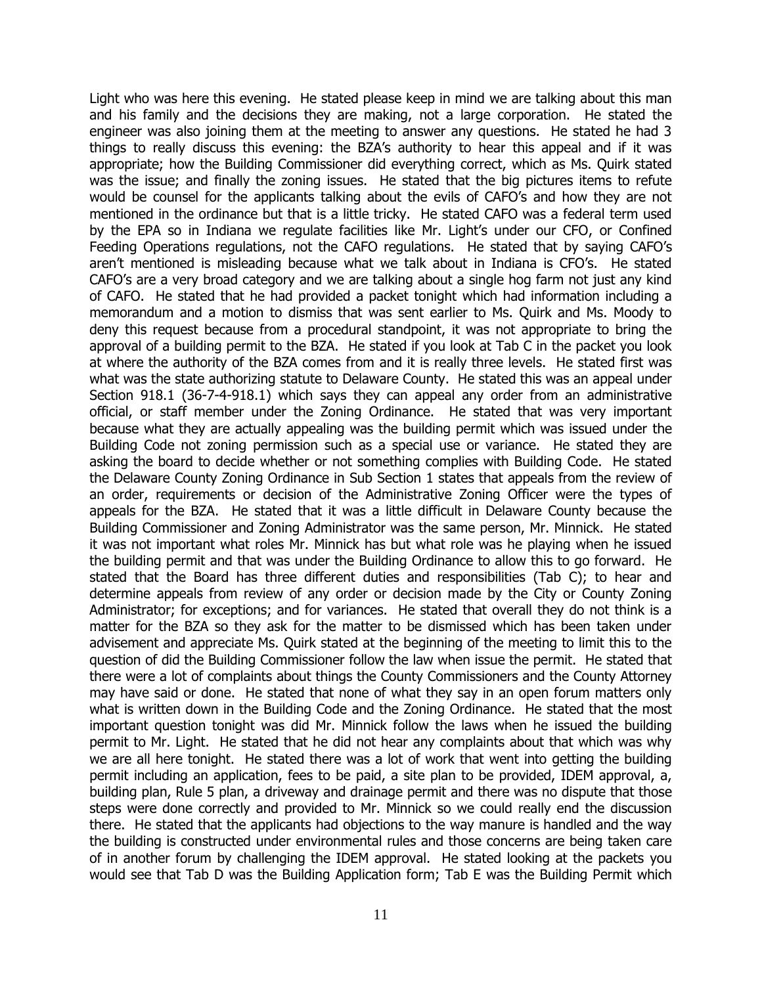Light who was here this evening. He stated please keep in mind we are talking about this man and his family and the decisions they are making, not a large corporation. He stated the engineer was also joining them at the meeting to answer any questions. He stated he had 3 things to really discuss this evening: the BZA's authority to hear this appeal and if it was appropriate; how the Building Commissioner did everything correct, which as Ms. Quirk stated was the issue; and finally the zoning issues. He stated that the big pictures items to refute would be counsel for the applicants talking about the evils of CAFO's and how they are not mentioned in the ordinance but that is a little tricky. He stated CAFO was a federal term used by the EPA so in Indiana we regulate facilities like Mr. Light's under our CFO, or Confined Feeding Operations regulations, not the CAFO regulations. He stated that by saying CAFO's aren't mentioned is misleading because what we talk about in Indiana is CFO's. He stated CAFO's are a very broad category and we are talking about a single hog farm not just any kind of CAFO. He stated that he had provided a packet tonight which had information including a memorandum and a motion to dismiss that was sent earlier to Ms. Quirk and Ms. Moody to deny this request because from a procedural standpoint, it was not appropriate to bring the approval of a building permit to the BZA. He stated if you look at Tab C in the packet you look at where the authority of the BZA comes from and it is really three levels. He stated first was what was the state authorizing statute to Delaware County. He stated this was an appeal under Section 918.1 (36-7-4-918.1) which says they can appeal any order from an administrative official, or staff member under the Zoning Ordinance. He stated that was very important because what they are actually appealing was the building permit which was issued under the Building Code not zoning permission such as a special use or variance. He stated they are asking the board to decide whether or not something complies with Building Code. He stated the Delaware County Zoning Ordinance in Sub Section 1 states that appeals from the review of an order, requirements or decision of the Administrative Zoning Officer were the types of appeals for the BZA. He stated that it was a little difficult in Delaware County because the Building Commissioner and Zoning Administrator was the same person, Mr. Minnick. He stated it was not important what roles Mr. Minnick has but what role was he playing when he issued the building permit and that was under the Building Ordinance to allow this to go forward. He stated that the Board has three different duties and responsibilities (Tab C); to hear and determine appeals from review of any order or decision made by the City or County Zoning Administrator; for exceptions; and for variances. He stated that overall they do not think is a matter for the BZA so they ask for the matter to be dismissed which has been taken under advisement and appreciate Ms. Quirk stated at the beginning of the meeting to limit this to the question of did the Building Commissioner follow the law when issue the permit. He stated that there were a lot of complaints about things the County Commissioners and the County Attorney may have said or done. He stated that none of what they say in an open forum matters only what is written down in the Building Code and the Zoning Ordinance. He stated that the most important question tonight was did Mr. Minnick follow the laws when he issued the building permit to Mr. Light. He stated that he did not hear any complaints about that which was why we are all here tonight. He stated there was a lot of work that went into getting the building permit including an application, fees to be paid, a site plan to be provided, IDEM approval, a, building plan, Rule 5 plan, a driveway and drainage permit and there was no dispute that those steps were done correctly and provided to Mr. Minnick so we could really end the discussion there. He stated that the applicants had objections to the way manure is handled and the way the building is constructed under environmental rules and those concerns are being taken care of in another forum by challenging the IDEM approval. He stated looking at the packets you would see that Tab D was the Building Application form; Tab E was the Building Permit which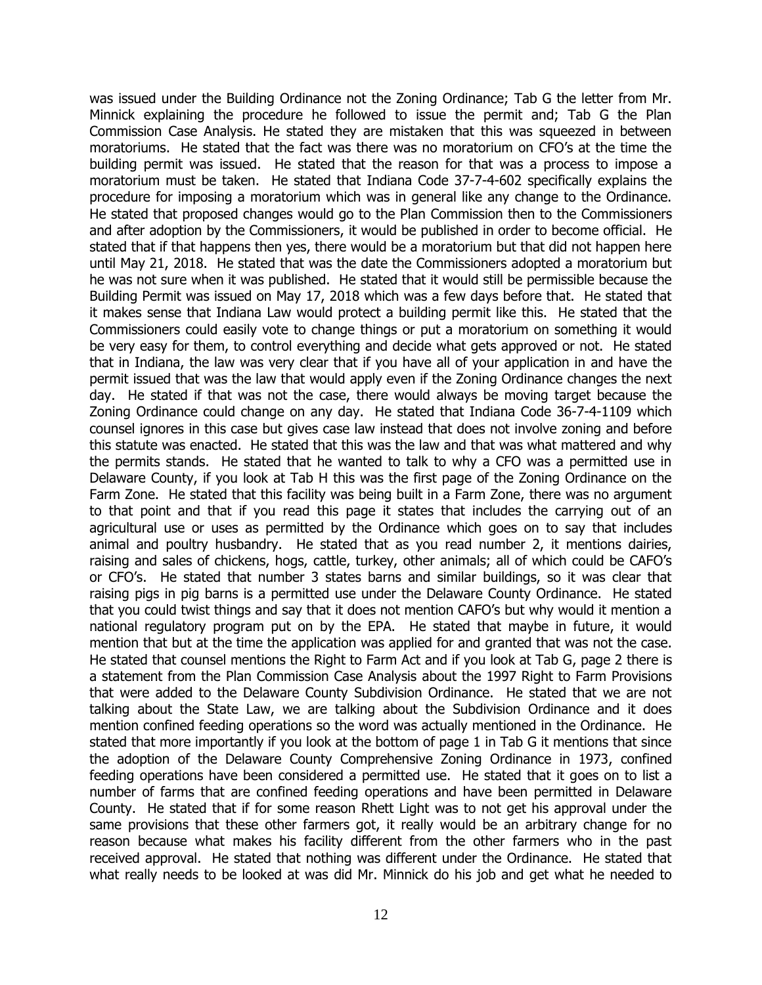was issued under the Building Ordinance not the Zoning Ordinance; Tab G the letter from Mr. Minnick explaining the procedure he followed to issue the permit and; Tab G the Plan Commission Case Analysis. He stated they are mistaken that this was squeezed in between moratoriums. He stated that the fact was there was no moratorium on CFO's at the time the building permit was issued. He stated that the reason for that was a process to impose a moratorium must be taken. He stated that Indiana Code 37-7-4-602 specifically explains the procedure for imposing a moratorium which was in general like any change to the Ordinance. He stated that proposed changes would go to the Plan Commission then to the Commissioners and after adoption by the Commissioners, it would be published in order to become official. He stated that if that happens then yes, there would be a moratorium but that did not happen here until May 21, 2018. He stated that was the date the Commissioners adopted a moratorium but he was not sure when it was published. He stated that it would still be permissible because the Building Permit was issued on May 17, 2018 which was a few days before that. He stated that it makes sense that Indiana Law would protect a building permit like this. He stated that the Commissioners could easily vote to change things or put a moratorium on something it would be very easy for them, to control everything and decide what gets approved or not. He stated that in Indiana, the law was very clear that if you have all of your application in and have the permit issued that was the law that would apply even if the Zoning Ordinance changes the next day. He stated if that was not the case, there would always be moving target because the Zoning Ordinance could change on any day. He stated that Indiana Code 36-7-4-1109 which counsel ignores in this case but gives case law instead that does not involve zoning and before this statute was enacted. He stated that this was the law and that was what mattered and why the permits stands. He stated that he wanted to talk to why a CFO was a permitted use in Delaware County, if you look at Tab H this was the first page of the Zoning Ordinance on the Farm Zone. He stated that this facility was being built in a Farm Zone, there was no argument to that point and that if you read this page it states that includes the carrying out of an agricultural use or uses as permitted by the Ordinance which goes on to say that includes animal and poultry husbandry. He stated that as you read number 2, it mentions dairies, raising and sales of chickens, hogs, cattle, turkey, other animals; all of which could be CAFO's or CFO's. He stated that number 3 states barns and similar buildings, so it was clear that raising pigs in pig barns is a permitted use under the Delaware County Ordinance. He stated that you could twist things and say that it does not mention CAFO's but why would it mention a national regulatory program put on by the EPA. He stated that maybe in future, it would mention that but at the time the application was applied for and granted that was not the case. He stated that counsel mentions the Right to Farm Act and if you look at Tab G, page 2 there is a statement from the Plan Commission Case Analysis about the 1997 Right to Farm Provisions that were added to the Delaware County Subdivision Ordinance. He stated that we are not talking about the State Law, we are talking about the Subdivision Ordinance and it does mention confined feeding operations so the word was actually mentioned in the Ordinance. He stated that more importantly if you look at the bottom of page 1 in Tab G it mentions that since the adoption of the Delaware County Comprehensive Zoning Ordinance in 1973, confined feeding operations have been considered a permitted use. He stated that it goes on to list a number of farms that are confined feeding operations and have been permitted in Delaware County. He stated that if for some reason Rhett Light was to not get his approval under the same provisions that these other farmers got, it really would be an arbitrary change for no reason because what makes his facility different from the other farmers who in the past received approval. He stated that nothing was different under the Ordinance. He stated that what really needs to be looked at was did Mr. Minnick do his job and get what he needed to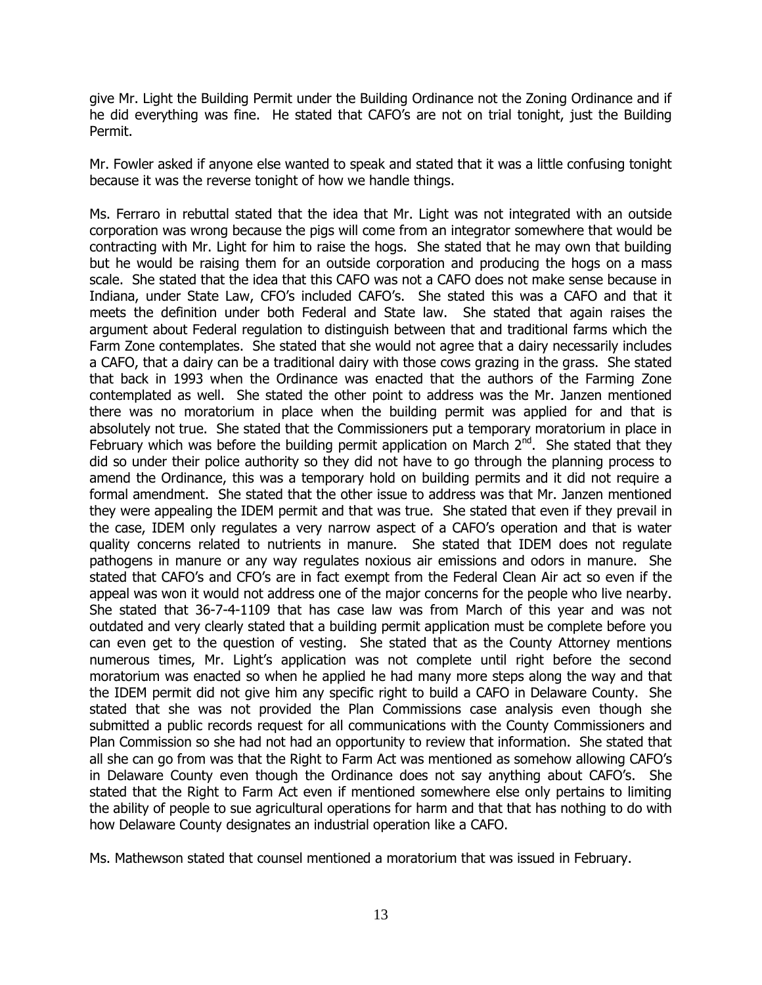give Mr. Light the Building Permit under the Building Ordinance not the Zoning Ordinance and if he did everything was fine. He stated that CAFO's are not on trial tonight, just the Building Permit.

Mr. Fowler asked if anyone else wanted to speak and stated that it was a little confusing tonight because it was the reverse tonight of how we handle things.

Ms. Ferraro in rebuttal stated that the idea that Mr. Light was not integrated with an outside corporation was wrong because the pigs will come from an integrator somewhere that would be contracting with Mr. Light for him to raise the hogs. She stated that he may own that building but he would be raising them for an outside corporation and producing the hogs on a mass scale. She stated that the idea that this CAFO was not a CAFO does not make sense because in Indiana, under State Law, CFO's included CAFO's. She stated this was a CAFO and that it meets the definition under both Federal and State law. She stated that again raises the argument about Federal regulation to distinguish between that and traditional farms which the Farm Zone contemplates. She stated that she would not agree that a dairy necessarily includes a CAFO, that a dairy can be a traditional dairy with those cows grazing in the grass. She stated that back in 1993 when the Ordinance was enacted that the authors of the Farming Zone contemplated as well. She stated the other point to address was the Mr. Janzen mentioned there was no moratorium in place when the building permit was applied for and that is absolutely not true. She stated that the Commissioners put a temporary moratorium in place in February which was before the building permit application on March  $2^{nd}$ . She stated that they did so under their police authority so they did not have to go through the planning process to amend the Ordinance, this was a temporary hold on building permits and it did not require a formal amendment. She stated that the other issue to address was that Mr. Janzen mentioned they were appealing the IDEM permit and that was true. She stated that even if they prevail in the case, IDEM only regulates a very narrow aspect of a CAFO's operation and that is water quality concerns related to nutrients in manure. She stated that IDEM does not regulate pathogens in manure or any way regulates noxious air emissions and odors in manure. She stated that CAFO's and CFO's are in fact exempt from the Federal Clean Air act so even if the appeal was won it would not address one of the major concerns for the people who live nearby. She stated that 36-7-4-1109 that has case law was from March of this year and was not outdated and very clearly stated that a building permit application must be complete before you can even get to the question of vesting. She stated that as the County Attorney mentions numerous times, Mr. Light's application was not complete until right before the second moratorium was enacted so when he applied he had many more steps along the way and that the IDEM permit did not give him any specific right to build a CAFO in Delaware County. She stated that she was not provided the Plan Commissions case analysis even though she submitted a public records request for all communications with the County Commissioners and Plan Commission so she had not had an opportunity to review that information. She stated that all she can go from was that the Right to Farm Act was mentioned as somehow allowing CAFO's in Delaware County even though the Ordinance does not say anything about CAFO's. She stated that the Right to Farm Act even if mentioned somewhere else only pertains to limiting the ability of people to sue agricultural operations for harm and that that has nothing to do with how Delaware County designates an industrial operation like a CAFO.

Ms. Mathewson stated that counsel mentioned a moratorium that was issued in February.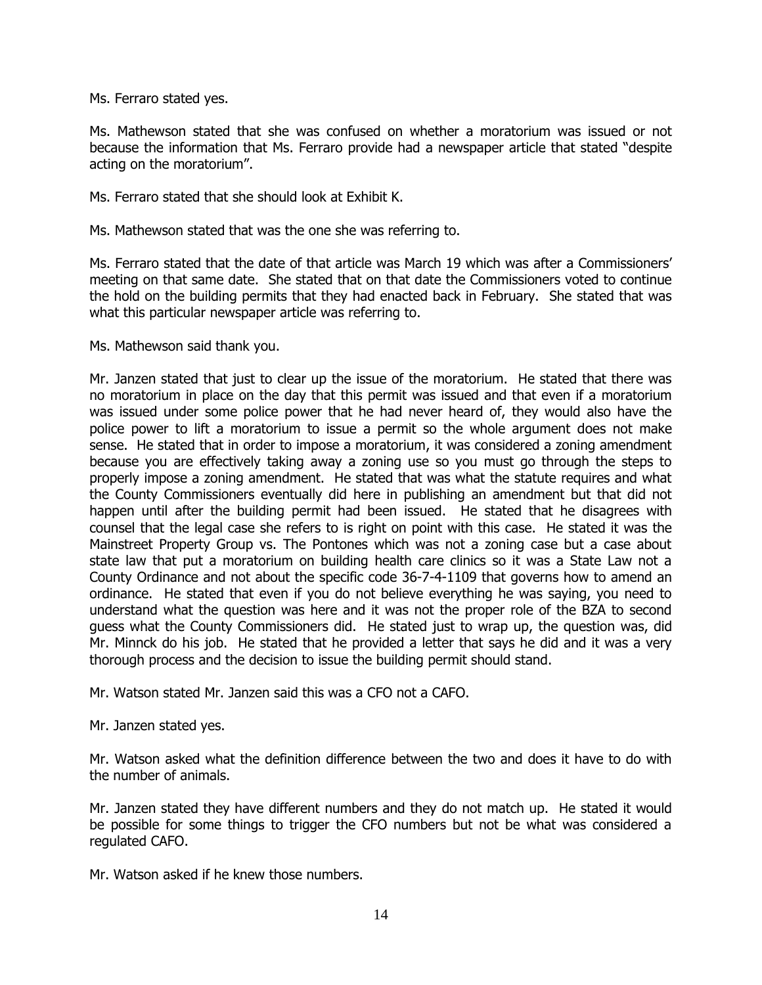Ms. Ferraro stated yes.

Ms. Mathewson stated that she was confused on whether a moratorium was issued or not because the information that Ms. Ferraro provide had a newspaper article that stated "despite acting on the moratorium".

Ms. Ferraro stated that she should look at Exhibit K.

Ms. Mathewson stated that was the one she was referring to.

Ms. Ferraro stated that the date of that article was March 19 which was after a Commissioners' meeting on that same date. She stated that on that date the Commissioners voted to continue the hold on the building permits that they had enacted back in February. She stated that was what this particular newspaper article was referring to.

Ms. Mathewson said thank you.

Mr. Janzen stated that just to clear up the issue of the moratorium. He stated that there was no moratorium in place on the day that this permit was issued and that even if a moratorium was issued under some police power that he had never heard of, they would also have the police power to lift a moratorium to issue a permit so the whole argument does not make sense. He stated that in order to impose a moratorium, it was considered a zoning amendment because you are effectively taking away a zoning use so you must go through the steps to properly impose a zoning amendment. He stated that was what the statute requires and what the County Commissioners eventually did here in publishing an amendment but that did not happen until after the building permit had been issued. He stated that he disagrees with counsel that the legal case she refers to is right on point with this case. He stated it was the Mainstreet Property Group vs. The Pontones which was not a zoning case but a case about state law that put a moratorium on building health care clinics so it was a State Law not a County Ordinance and not about the specific code 36-7-4-1109 that governs how to amend an ordinance. He stated that even if you do not believe everything he was saying, you need to understand what the question was here and it was not the proper role of the BZA to second guess what the County Commissioners did. He stated just to wrap up, the question was, did Mr. Minnck do his job. He stated that he provided a letter that says he did and it was a very thorough process and the decision to issue the building permit should stand.

Mr. Watson stated Mr. Janzen said this was a CFO not a CAFO.

Mr. Janzen stated yes.

Mr. Watson asked what the definition difference between the two and does it have to do with the number of animals.

Mr. Janzen stated they have different numbers and they do not match up. He stated it would be possible for some things to trigger the CFO numbers but not be what was considered a regulated CAFO.

Mr. Watson asked if he knew those numbers.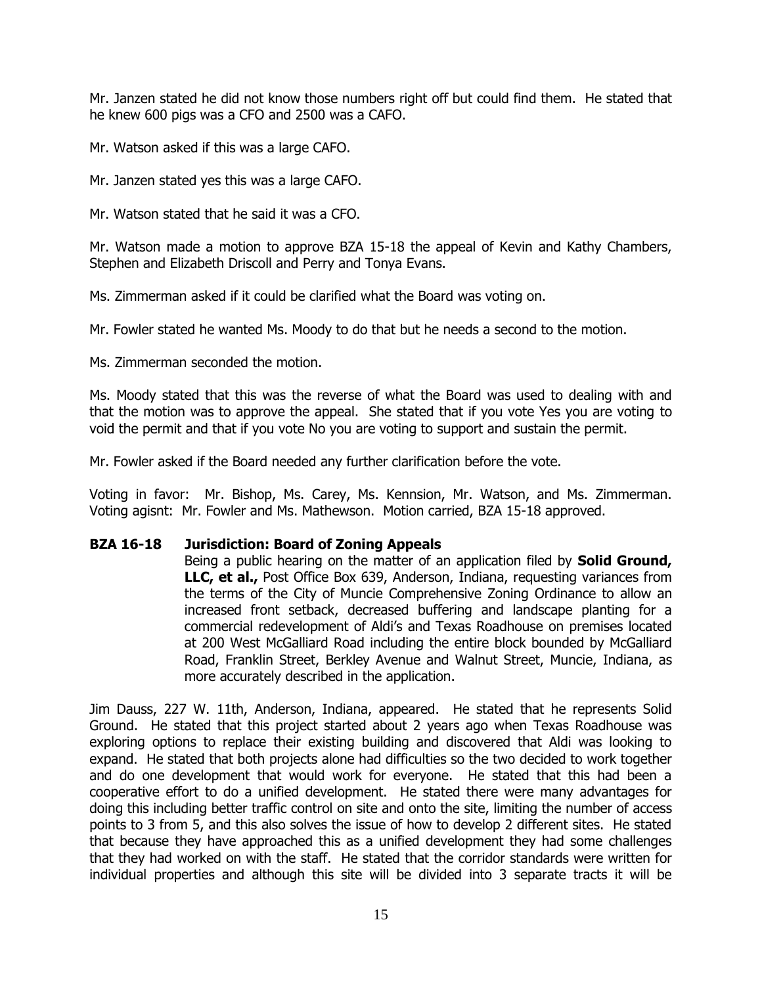Mr. Janzen stated he did not know those numbers right off but could find them. He stated that he knew 600 pigs was a CFO and 2500 was a CAFO.

Mr. Watson asked if this was a large CAFO.

Mr. Janzen stated yes this was a large CAFO.

Mr. Watson stated that he said it was a CFO.

Mr. Watson made a motion to approve BZA 15-18 the appeal of Kevin and Kathy Chambers, Stephen and Elizabeth Driscoll and Perry and Tonya Evans.

Ms. Zimmerman asked if it could be clarified what the Board was voting on.

Mr. Fowler stated he wanted Ms. Moody to do that but he needs a second to the motion.

Ms. Zimmerman seconded the motion.

Ms. Moody stated that this was the reverse of what the Board was used to dealing with and that the motion was to approve the appeal. She stated that if you vote Yes you are voting to void the permit and that if you vote No you are voting to support and sustain the permit.

Mr. Fowler asked if the Board needed any further clarification before the vote.

Voting in favor: Mr. Bishop, Ms. Carey, Ms. Kennsion, Mr. Watson, and Ms. Zimmerman. Voting agisnt: Mr. Fowler and Ms. Mathewson. Motion carried, BZA 15-18 approved.

# **BZA 16-18 Jurisdiction: Board of Zoning Appeals**

Being a public hearing on the matter of an application filed by **Solid Ground, LLC, et al.,** Post Office Box 639, Anderson, Indiana, requesting variances from the terms of the City of Muncie Comprehensive Zoning Ordinance to allow an increased front setback, decreased buffering and landscape planting for a commercial redevelopment of Aldi's and Texas Roadhouse on premises located at 200 West McGalliard Road including the entire block bounded by McGalliard Road, Franklin Street, Berkley Avenue and Walnut Street, Muncie, Indiana, as more accurately described in the application.

Jim Dauss, 227 W. 11th, Anderson, Indiana, appeared. He stated that he represents Solid Ground. He stated that this project started about 2 years ago when Texas Roadhouse was exploring options to replace their existing building and discovered that Aldi was looking to expand. He stated that both projects alone had difficulties so the two decided to work together and do one development that would work for everyone. He stated that this had been a cooperative effort to do a unified development. He stated there were many advantages for doing this including better traffic control on site and onto the site, limiting the number of access points to 3 from 5, and this also solves the issue of how to develop 2 different sites. He stated that because they have approached this as a unified development they had some challenges that they had worked on with the staff. He stated that the corridor standards were written for individual properties and although this site will be divided into 3 separate tracts it will be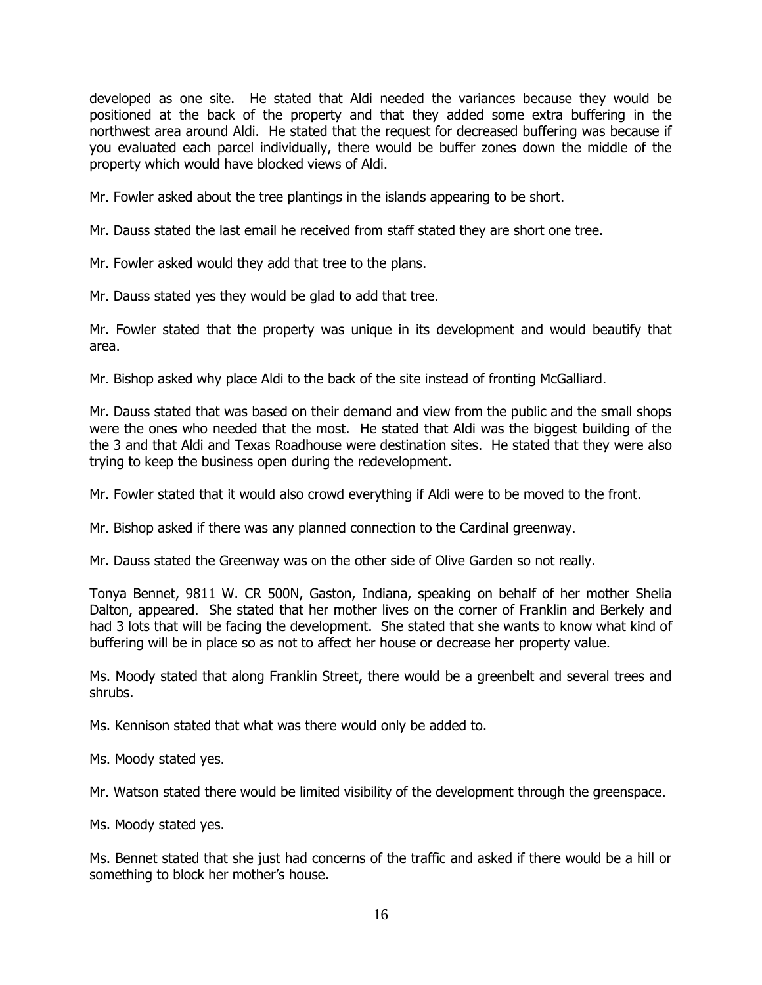developed as one site. He stated that Aldi needed the variances because they would be positioned at the back of the property and that they added some extra buffering in the northwest area around Aldi. He stated that the request for decreased buffering was because if you evaluated each parcel individually, there would be buffer zones down the middle of the property which would have blocked views of Aldi.

Mr. Fowler asked about the tree plantings in the islands appearing to be short.

Mr. Dauss stated the last email he received from staff stated they are short one tree.

Mr. Fowler asked would they add that tree to the plans.

Mr. Dauss stated yes they would be glad to add that tree.

Mr. Fowler stated that the property was unique in its development and would beautify that area.

Mr. Bishop asked why place Aldi to the back of the site instead of fronting McGalliard.

Mr. Dauss stated that was based on their demand and view from the public and the small shops were the ones who needed that the most. He stated that Aldi was the biggest building of the the 3 and that Aldi and Texas Roadhouse were destination sites. He stated that they were also trying to keep the business open during the redevelopment.

Mr. Fowler stated that it would also crowd everything if Aldi were to be moved to the front.

Mr. Bishop asked if there was any planned connection to the Cardinal greenway.

Mr. Dauss stated the Greenway was on the other side of Olive Garden so not really.

Tonya Bennet, 9811 W. CR 500N, Gaston, Indiana, speaking on behalf of her mother Shelia Dalton, appeared. She stated that her mother lives on the corner of Franklin and Berkely and had 3 lots that will be facing the development. She stated that she wants to know what kind of buffering will be in place so as not to affect her house or decrease her property value.

Ms. Moody stated that along Franklin Street, there would be a greenbelt and several trees and shrubs.

Ms. Kennison stated that what was there would only be added to.

Ms. Moody stated yes.

Mr. Watson stated there would be limited visibility of the development through the greenspace.

Ms. Moody stated yes.

Ms. Bennet stated that she just had concerns of the traffic and asked if there would be a hill or something to block her mother's house.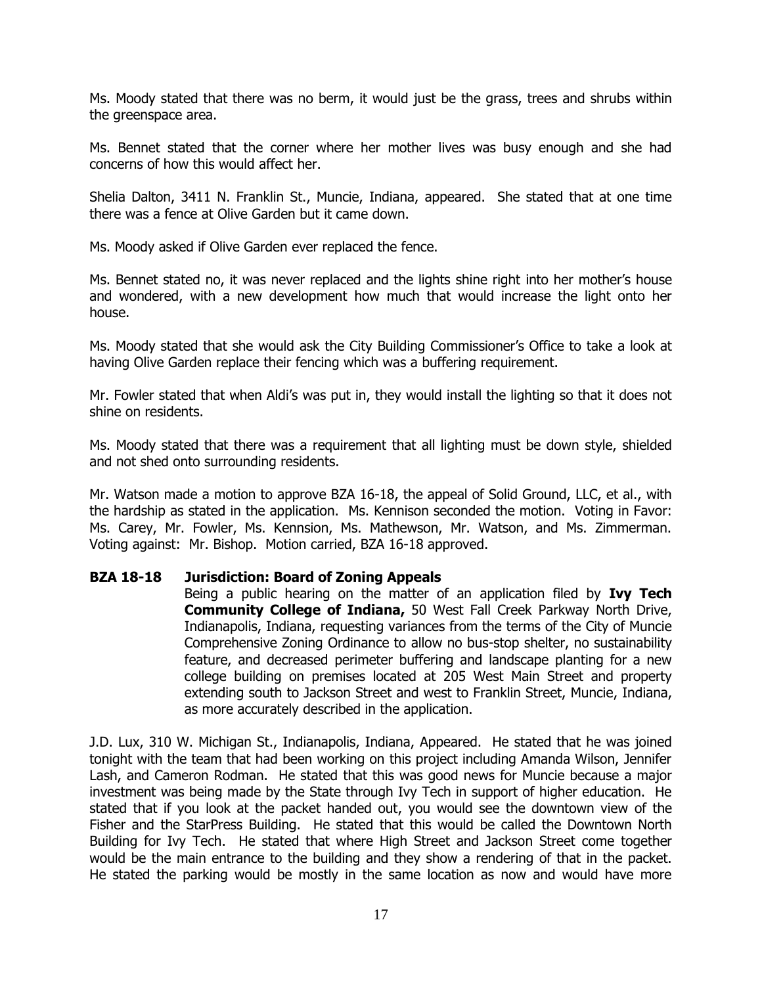Ms. Moody stated that there was no berm, it would just be the grass, trees and shrubs within the greenspace area.

Ms. Bennet stated that the corner where her mother lives was busy enough and she had concerns of how this would affect her.

Shelia Dalton, 3411 N. Franklin St., Muncie, Indiana, appeared. She stated that at one time there was a fence at Olive Garden but it came down.

Ms. Moody asked if Olive Garden ever replaced the fence.

Ms. Bennet stated no, it was never replaced and the lights shine right into her mother's house and wondered, with a new development how much that would increase the light onto her house.

Ms. Moody stated that she would ask the City Building Commissioner's Office to take a look at having Olive Garden replace their fencing which was a buffering requirement.

Mr. Fowler stated that when Aldi's was put in, they would install the lighting so that it does not shine on residents.

Ms. Moody stated that there was a requirement that all lighting must be down style, shielded and not shed onto surrounding residents.

Mr. Watson made a motion to approve BZA 16-18, the appeal of Solid Ground, LLC, et al., with the hardship as stated in the application. Ms. Kennison seconded the motion. Voting in Favor: Ms. Carey, Mr. Fowler, Ms. Kennsion, Ms. Mathewson, Mr. Watson, and Ms. Zimmerman. Voting against: Mr. Bishop. Motion carried, BZA 16-18 approved.

# **BZA 18-18 Jurisdiction: Board of Zoning Appeals**

Being a public hearing on the matter of an application filed by **Ivy Tech Community College of Indiana,** 50 West Fall Creek Parkway North Drive, Indianapolis, Indiana, requesting variances from the terms of the City of Muncie Comprehensive Zoning Ordinance to allow no bus-stop shelter, no sustainability feature, and decreased perimeter buffering and landscape planting for a new college building on premises located at 205 West Main Street and property extending south to Jackson Street and west to Franklin Street, Muncie, Indiana, as more accurately described in the application.

J.D. Lux, 310 W. Michigan St., Indianapolis, Indiana, Appeared. He stated that he was joined tonight with the team that had been working on this project including Amanda Wilson, Jennifer Lash, and Cameron Rodman. He stated that this was good news for Muncie because a major investment was being made by the State through Ivy Tech in support of higher education. He stated that if you look at the packet handed out, you would see the downtown view of the Fisher and the StarPress Building. He stated that this would be called the Downtown North Building for Ivy Tech. He stated that where High Street and Jackson Street come together would be the main entrance to the building and they show a rendering of that in the packet. He stated the parking would be mostly in the same location as now and would have more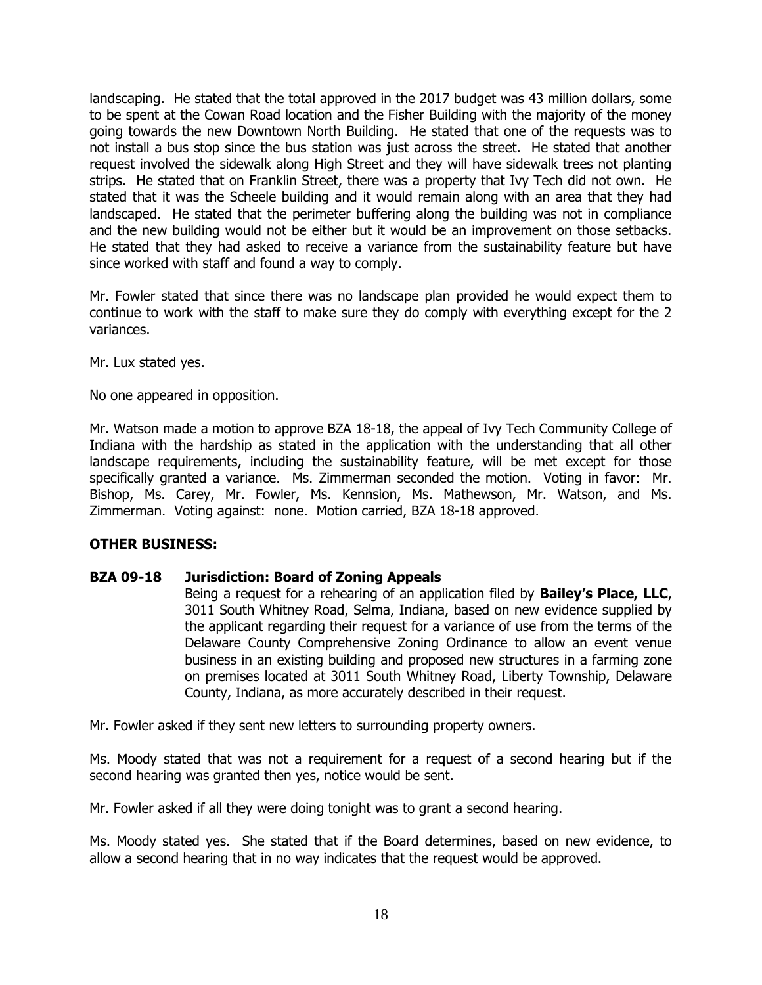landscaping. He stated that the total approved in the 2017 budget was 43 million dollars, some to be spent at the Cowan Road location and the Fisher Building with the majority of the money going towards the new Downtown North Building. He stated that one of the requests was to not install a bus stop since the bus station was just across the street. He stated that another request involved the sidewalk along High Street and they will have sidewalk trees not planting strips. He stated that on Franklin Street, there was a property that Ivy Tech did not own. He stated that it was the Scheele building and it would remain along with an area that they had landscaped. He stated that the perimeter buffering along the building was not in compliance and the new building would not be either but it would be an improvement on those setbacks. He stated that they had asked to receive a variance from the sustainability feature but have since worked with staff and found a way to comply.

Mr. Fowler stated that since there was no landscape plan provided he would expect them to continue to work with the staff to make sure they do comply with everything except for the 2 variances.

Mr. Lux stated yes.

No one appeared in opposition.

Mr. Watson made a motion to approve BZA 18-18, the appeal of Ivy Tech Community College of Indiana with the hardship as stated in the application with the understanding that all other landscape requirements, including the sustainability feature, will be met except for those specifically granted a variance. Ms. Zimmerman seconded the motion. Voting in favor: Mr. Bishop, Ms. Carey, Mr. Fowler, Ms. Kennsion, Ms. Mathewson, Mr. Watson, and Ms. Zimmerman. Voting against: none. Motion carried, BZA 18-18 approved.

# **OTHER BUSINESS:**

# **BZA 09-18 Jurisdiction: Board of Zoning Appeals**

Being a request for a rehearing of an application filed by **Bailey's Place, LLC**, 3011 South Whitney Road, Selma, Indiana, based on new evidence supplied by the applicant regarding their request for a variance of use from the terms of the Delaware County Comprehensive Zoning Ordinance to allow an event venue business in an existing building and proposed new structures in a farming zone on premises located at 3011 South Whitney Road, Liberty Township, Delaware County, Indiana, as more accurately described in their request.

Mr. Fowler asked if they sent new letters to surrounding property owners.

Ms. Moody stated that was not a requirement for a request of a second hearing but if the second hearing was granted then yes, notice would be sent.

Mr. Fowler asked if all they were doing tonight was to grant a second hearing.

Ms. Moody stated yes. She stated that if the Board determines, based on new evidence, to allow a second hearing that in no way indicates that the request would be approved.